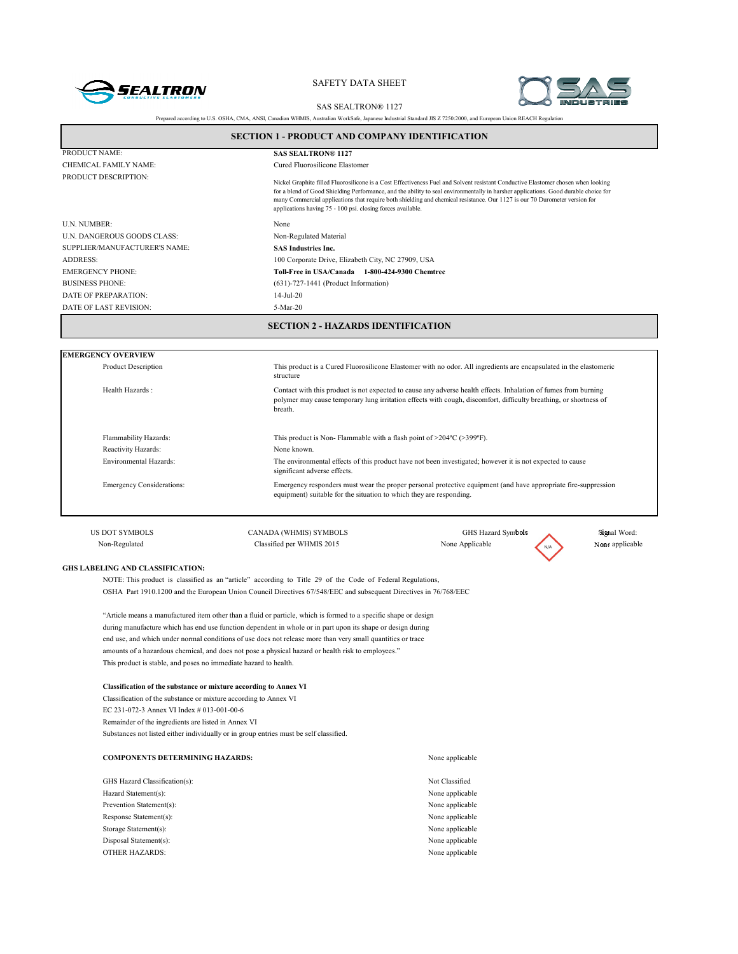



|                                                                                                                                                                                                                                                                           | <b>SAS SEALTRON® 1127</b>                                                                                                                                                                                                                       |                                                                                                                                                                                                                                                                                                                                                                                                        |                 |  |  |
|---------------------------------------------------------------------------------------------------------------------------------------------------------------------------------------------------------------------------------------------------------------------------|-------------------------------------------------------------------------------------------------------------------------------------------------------------------------------------------------------------------------------------------------|--------------------------------------------------------------------------------------------------------------------------------------------------------------------------------------------------------------------------------------------------------------------------------------------------------------------------------------------------------------------------------------------------------|-----------------|--|--|
|                                                                                                                                                                                                                                                                           | Prepared according to U.S. OSHA, CMA, ANSI, Canadian WHMIS, Australian WorkSafe, Japanese Industrial Standard JIS Z 7250:2000, and European Union REACH Regulation                                                                              |                                                                                                                                                                                                                                                                                                                                                                                                        |                 |  |  |
| <b>SECTION 1 - PRODUCT AND COMPANY IDENTIFICATION</b>                                                                                                                                                                                                                     |                                                                                                                                                                                                                                                 |                                                                                                                                                                                                                                                                                                                                                                                                        |                 |  |  |
| PRODUCT NAME:                                                                                                                                                                                                                                                             | <b>SAS SEALTRON® 1127</b>                                                                                                                                                                                                                       |                                                                                                                                                                                                                                                                                                                                                                                                        |                 |  |  |
| CHEMICAL FAMILY NAME:                                                                                                                                                                                                                                                     | Cured Fluorosilicone Elastomer                                                                                                                                                                                                                  |                                                                                                                                                                                                                                                                                                                                                                                                        |                 |  |  |
| PRODUCT DESCRIPTION:                                                                                                                                                                                                                                                      | applications having 75 - 100 psi. closing forces available.                                                                                                                                                                                     | Nickel Graphite filled Fluorosilicone is a Cost Effectiveness Fuel and Solvent resistant Conductive Elastomer chosen when looking<br>for a blend of Good Shielding Performance, and the ability to seal environmentally in harsher applications. Good durable choice for<br>many Commercial applications that require both shielding and chemical resistance. Our 1127 is our 70 Durometer version for |                 |  |  |
| U.N. NUMBER:                                                                                                                                                                                                                                                              | None                                                                                                                                                                                                                                            |                                                                                                                                                                                                                                                                                                                                                                                                        |                 |  |  |
| U.N. DANGEROUS GOODS CLASS:                                                                                                                                                                                                                                               | Non-Regulated Material                                                                                                                                                                                                                          |                                                                                                                                                                                                                                                                                                                                                                                                        |                 |  |  |
| SUPPLIER/MANUFACTURER'S NAME:                                                                                                                                                                                                                                             | <b>SAS Industries Inc.</b>                                                                                                                                                                                                                      |                                                                                                                                                                                                                                                                                                                                                                                                        |                 |  |  |
| <b>ADDRESS:</b>                                                                                                                                                                                                                                                           | 100 Corporate Drive, Elizabeth City, NC 27909, USA                                                                                                                                                                                              |                                                                                                                                                                                                                                                                                                                                                                                                        |                 |  |  |
| <b>EMERGENCY PHONE:</b>                                                                                                                                                                                                                                                   |                                                                                                                                                                                                                                                 | Toll-Free in USA/Canada 1-800-424-9300 Chemtrec                                                                                                                                                                                                                                                                                                                                                        |                 |  |  |
| <b>BUSINESS PHONE:</b>                                                                                                                                                                                                                                                    | $(631)$ -727-1441 (Product Information)                                                                                                                                                                                                         |                                                                                                                                                                                                                                                                                                                                                                                                        |                 |  |  |
| DATE OF PREPARATION:                                                                                                                                                                                                                                                      | $14-Jul-20$                                                                                                                                                                                                                                     |                                                                                                                                                                                                                                                                                                                                                                                                        |                 |  |  |
| DATE OF LAST REVISION:                                                                                                                                                                                                                                                    | 5-Mar-20                                                                                                                                                                                                                                        |                                                                                                                                                                                                                                                                                                                                                                                                        |                 |  |  |
| <b>EMERGENCY OVERVIEW</b>                                                                                                                                                                                                                                                 |                                                                                                                                                                                                                                                 |                                                                                                                                                                                                                                                                                                                                                                                                        |                 |  |  |
| <b>Product Description</b>                                                                                                                                                                                                                                                | structure                                                                                                                                                                                                                                       | This product is a Cured Fluorosilicone Elastomer with no odor. All ingredients are encapsulated in the elastomeric                                                                                                                                                                                                                                                                                     |                 |  |  |
| Health Hazards:                                                                                                                                                                                                                                                           | Contact with this product is not expected to cause any adverse health effects. Inhalation of fumes from burning<br>polymer may cause temporary lung irritation effects with cough, discomfort, difficulty breathing, or shortness of<br>breath. |                                                                                                                                                                                                                                                                                                                                                                                                        |                 |  |  |
| Flammability Hazards:                                                                                                                                                                                                                                                     | This product is Non-Flammable with a flash point of $>204^{\circ}C$ ( $>399^{\circ}F$ ).                                                                                                                                                        |                                                                                                                                                                                                                                                                                                                                                                                                        |                 |  |  |
| Reactivity Hazards:                                                                                                                                                                                                                                                       | None known.                                                                                                                                                                                                                                     |                                                                                                                                                                                                                                                                                                                                                                                                        |                 |  |  |
| Environmental Hazards:                                                                                                                                                                                                                                                    | The environmental effects of this product have not been investigated; however it is not expected to cause<br>significant adverse effects.                                                                                                       |                                                                                                                                                                                                                                                                                                                                                                                                        |                 |  |  |
| <b>Emergency Considerations:</b>                                                                                                                                                                                                                                          | equipment) suitable for the situation to which they are responding.                                                                                                                                                                             | Emergency responders must wear the proper personal protective equipment (and have appropriate fire-suppression                                                                                                                                                                                                                                                                                         |                 |  |  |
| <b>US DOT SYMBOLS</b>                                                                                                                                                                                                                                                     | CANADA (WHMIS) SYMBOLS                                                                                                                                                                                                                          | GHS Hazard Symbols                                                                                                                                                                                                                                                                                                                                                                                     | Signal Word:    |  |  |
| Non-Regulated                                                                                                                                                                                                                                                             | Classified per WHMIS 2015                                                                                                                                                                                                                       | None Applicable                                                                                                                                                                                                                                                                                                                                                                                        | None applicable |  |  |
|                                                                                                                                                                                                                                                                           |                                                                                                                                                                                                                                                 |                                                                                                                                                                                                                                                                                                                                                                                                        |                 |  |  |
| <b>GHS LABELING AND CLASSIFICATION:</b><br>NOTE: This product is classified as an "article" according to Title 29 of the Code of Federal Regulations,<br>OSHA Part 1910.1200 and the European Union Council Directives 67/548/EEC and subsequent Directives in 76/768/EEC |                                                                                                                                                                                                                                                 |                                                                                                                                                                                                                                                                                                                                                                                                        |                 |  |  |

"Article means a manufactured item other than a fluid or particle, which is formed to a specific shape or design during manufacture which has end use function dependent in whole or in part upon its shape or design during end use, and which under normal conditions of use does not release more than very small quantities or trace amounts of a hazardous chemical, and does not pose a physical hazard or health risk to employees." This product is stable, and poses no immediate hazard to health.

#### **Classification of the substance or mixture according to Annex VI**

Classification of the substance or mixture according to Annex VI EC 231-072-3 Annex VI Index # 013-001-00-6 Remainder of the ingredients are listed in Annex VI Substances not listed either individually or in group entries must be self classified.

# **COMPONENTS DETERMINING HAZARDS:** None applicable GHS Hazard Classification(s): Not Classified Hazard Statement(s): None applicable Prevention Statement(s): None applicable Response Statement(s): None applicable Storage Statement(s): None applicable Disposal Statement(s): None applicable OTHER HAZARDS: None applicable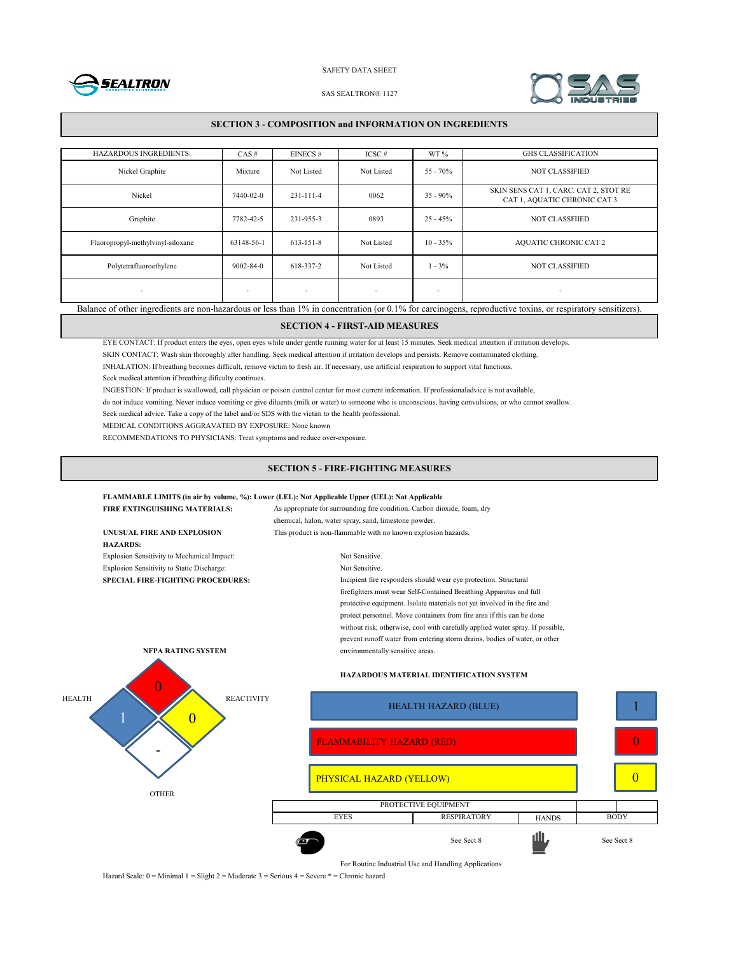



1

0

0

#### SAS SEALTRON® 1127

## **SECTION 3 - COMPOSITION and INFORMATION ON INGREDIENTS**

| <b>HAZARDOUS INGREDIENTS:</b>                                                                                                                               | CAS#                     | EINECS#                  | $ICSC \#$                | WT%         | <b>GHS CLASSIFICATION</b>                                             |
|-------------------------------------------------------------------------------------------------------------------------------------------------------------|--------------------------|--------------------------|--------------------------|-------------|-----------------------------------------------------------------------|
| Nickel Graphite                                                                                                                                             | Mixture                  | Not Listed               | Not Listed               | $55 - 70%$  | <b>NOT CLASSIFIED</b>                                                 |
| Nickel                                                                                                                                                      | 7440-02-0                | 231-111-4                | 0062                     | $35 - 90\%$ | SKIN SENS CAT 1, CARC. CAT 2, STOT RE<br>CAT 1, AQUATIC CHRONIC CAT 3 |
| Graphite                                                                                                                                                    | 7782-42-5                | 231-955-3                | 0893                     | $25 - 45%$  | <b>NOT CLASSFIIED</b>                                                 |
| Fluoropropyl-methylvinyl-siloxane                                                                                                                           | 63148-56-1               | $613 - 151 - 8$          | Not Listed               | $10 - 35\%$ | <b>AQUATIC CHRONIC CAT 2</b>                                          |
| Polytetrafluoroethylene                                                                                                                                     | $9002 - 84 - 0$          | 618-337-2                | Not Listed               | $1 - 3\%$   | <b>NOT CLASSIFIED</b>                                                 |
| $\overline{\phantom{a}}$                                                                                                                                    | $\overline{\phantom{a}}$ | $\overline{\phantom{a}}$ | $\overline{\phantom{a}}$ | ٠           | $\overline{\phantom{a}}$                                              |
| Balance of other ingredients are non-hazardous or less than 1% in concentration (or 0.1% for carcinogens, reproductive toxins, or respiratory sensitizers). |                          |                          |                          |             |                                                                       |

## **SECTION 4 - FIRST-AID MEASURES**

EYE CONTACT: If product enters the eyes, open eyes while under gentle running water for at least 15 minutes. Seek medical attention if irritation develops.

SKIN CONTACT: Wash skin thoroughly after handling. Seek medical attention if irritation develops and persists. Remove contaminated clothing.

INHALATION: If breathing becomes difficult, remove victim to fresh air. If necessary, use artificial respiration to support vital functions.

Seek medical attention if breathing dificulty continues.

INGESTION: If product is swallowed, call physician or poison control center for most current information. If professionaladvice is not available,

do not induce vomiting. Never induce vomiting or give diluents (milk or water) to someone who is unconscious, having convulsions, or who cannot swallow.

Seek medical advice. Take a copy of the label and/or SDS with the victim to the health professional.

MEDICAL CONDITIONS AGGRAVATED BY EXPOSURE: None known

RECOMMENDATIONS TO PHYSICIANS: Treat symptoms and reduce over-exposure.

## **SECTION 5 - FIRE-FIGHTING MEASURES**

## **FLAMMABLE LIMITS (in air by volume, %): Lower (LEL): Not Applicable Upper (UEL): Not Applicable**

|                                                                                                              | FIRE EXTINGUISHING MATERIALS:               | As appropriate for surrounding fire condition. Carbon dioxide, foam, dry |                                                                                |              |             |  |
|--------------------------------------------------------------------------------------------------------------|---------------------------------------------|--------------------------------------------------------------------------|--------------------------------------------------------------------------------|--------------|-------------|--|
|                                                                                                              |                                             | chemical, halon, water spray, sand, limestone powder.                    |                                                                                |              |             |  |
|                                                                                                              | UNUSUAL FIRE AND EXPLOSION                  | This product is non-flammable with no known explosion hazards.           |                                                                                |              |             |  |
|                                                                                                              | <b>HAZARDS:</b>                             |                                                                          |                                                                                |              |             |  |
|                                                                                                              | Explosion Sensitivity to Mechanical Impact: | Not Sensitive.                                                           |                                                                                |              |             |  |
|                                                                                                              | Explosion Sensitivity to Static Discharge:  | Not Sensitive.                                                           |                                                                                |              |             |  |
| Incipient fire responders should wear eye protection. Structural<br><b>SPECIAL FIRE-FIGHTING PROCEDURES:</b> |                                             |                                                                          |                                                                                |              |             |  |
|                                                                                                              |                                             |                                                                          | firefighters must wear Self-Contained Breathing Apparatus and full             |              |             |  |
|                                                                                                              |                                             |                                                                          | protective equipment. Isolate materials not yet involved in the fire and       |              |             |  |
|                                                                                                              |                                             |                                                                          | protect personnel. Move containers from fire area if this can be done          |              |             |  |
|                                                                                                              |                                             |                                                                          | without risk; otherwise, cool with carefully applied water spray. If possible, |              |             |  |
|                                                                                                              |                                             |                                                                          | prevent runoff water from entering storm drains, bodies of water, or other     |              |             |  |
|                                                                                                              | NFPA RATING SYSTEM                          | environmentally sensitive areas.                                         |                                                                                |              |             |  |
|                                                                                                              |                                             |                                                                          | <b>HAZARDOUS MATERIAL IDENTIFICATION SYSTEM</b>                                |              |             |  |
| <b>HEALTH</b><br><b>REACTIVITY</b>                                                                           |                                             |                                                                          | <b>HEALTH HAZARD (BLUE)</b>                                                    |              |             |  |
|                                                                                                              |                                             | <b>FLAMMABILITY HAZARD (RED)</b>                                         |                                                                                |              |             |  |
|                                                                                                              |                                             | PHYSICAL HAZARD (YELLOW)                                                 |                                                                                |              |             |  |
|                                                                                                              | <b>OTHER</b>                                |                                                                          |                                                                                |              |             |  |
|                                                                                                              |                                             | PROTECTIVE EQUIPMENT                                                     |                                                                                |              |             |  |
|                                                                                                              |                                             | <b>EYES</b>                                                              | <b>RESPIRATORY</b>                                                             | <b>HANDS</b> | <b>BODY</b> |  |



For Routine Industrial Use and Handling Applications

Hazard Scale: 0 = Minimal 1 = Slight 2 = Moderate 3 = Serious 4 = Severe \* = Chronic hazard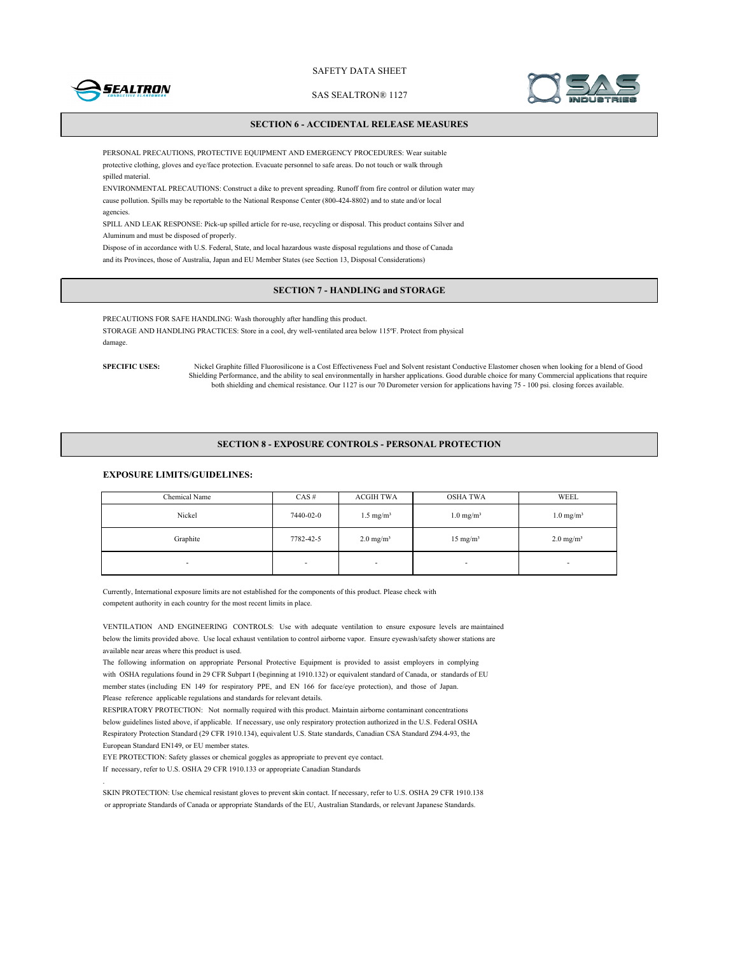

SAS SEALTRON® 1127



## **SECTION 6 - ACCIDENTAL RELEASE MEASURES**

PERSONAL PRECAUTIONS, PROTECTIVE EQUIPMENT AND EMERGENCY PROCEDURES: Wear suitable protective clothing, gloves and eye/face protection. Evacuate personnel to safe areas. Do not touch or walk through spilled material.

ENVIRONMENTAL PRECAUTIONS: Construct a dike to prevent spreading. Runoff from fire control or dilution water may cause pollution. Spills may be reportable to the National Response Center (800-424-8802) and to state and/or local agencies.

SPILL AND LEAK RESPONSE: Pick-up spilled article for re-use, recycling or disposal. This product contains Silver and Aluminum and must be disposed of properly.

Dispose of in accordance with U.S. Federal, State, and local hazardous waste disposal regulations and those of Canada and its Provinces, those of Australia, Japan and EU Member States (see Section 13, Disposal Considerations)

## **SECTION 7 - HANDLING and STORAGE**

PRECAUTIONS FOR SAFE HANDLING: Wash thoroughly after handling this product. STORAGE AND HANDLING PRACTICES: Store in a cool, dry well-ventilated area below 115ºF. Protect from physical damage.

**SPECIFIC USES:**

.

Nickel Graphite filled Fluorosilicone is a Cost Effectiveness Fuel and Solvent resistant Conductive Elastomer chosen when looking for a blend of Good Shielding Performance, and the ability to seal environmentally in harsher applications. Good durable choice for many Commercial applications that require both shielding and chemical resistance. Our 1127 is our 70 Durometer version for applications having 75 - 100 psi. closing forces available.

### **SECTION 8 - EXPOSURE CONTROLS - PERSONAL PROTECTION**

## **EXPOSURE LIMITS/GUIDELINES:**

| Chemical Name | $CAS \#$       | ACGIH TWA            | <b>OSHA TWA</b>          | WEEL                    |
|---------------|----------------|----------------------|--------------------------|-------------------------|
| Nickel        | 7440-02-0      | $1.5 \text{ mg/m}^3$ | $1.0 \text{ mg/m}^3$     | $1.0$ mg/m <sup>3</sup> |
| Graphite      | 7782-42-5      | $2.0 \text{ mg/m}^3$ | $15 \text{ mg/m}^3$      | $2.0 \text{ mg/m}^3$    |
| ۰             | $\blacksquare$ | -                    | $\overline{\phantom{a}}$ | $\blacksquare$          |

Currently, International exposure limits are not established for the components of this product. Please check with competent authority in each country for the most recent limits in place.

VENTILATION AND ENGINEERING CONTROLS: Use with adequate ventilation to ensure exposure levels are maintained below the limits provided above. Use local exhaust ventilation to control airborne vapor. Ensure eyewash/safety shower stations are available near areas where this product is used.

The following information on appropriate Personal Protective Equipment is provided to assist employers in complying with OSHA regulations found in 29 CFR Subpart I (beginning at 1910.132) or equivalent standard of Canada, or standards of EU member states (including EN 149 for respiratory PPE, and EN 166 for face/eye protection), and those of Japan. Please reference applicable regulations and standards for relevant details.

RESPIRATORY PROTECTION: Not normally required with this product. Maintain airborne contaminant concentrations below guidelines listed above, if applicable. If necessary, use only respiratory protection authorized in the U.S. Federal OSHA Respiratory Protection Standard (29 CFR 1910.134), equivalent U.S. State standards, Canadian CSA Standard Z94.4-93, the European Standard EN149, or EU member states.

EYE PROTECTION: Safety glasses or chemical goggles as appropriate to prevent eye contact.

If necessary, refer to U.S. OSHA 29 CFR 1910.133 or appropriate Canadian Standards

SKIN PROTECTION: Use chemical resistant gloves to prevent skin contact. If necessary, refer to U.S. OSHA 29 CFR 1910.138 or appropriate Standards of Canada or appropriate Standards of the EU, Australian Standards, or relevant Japanese Standards.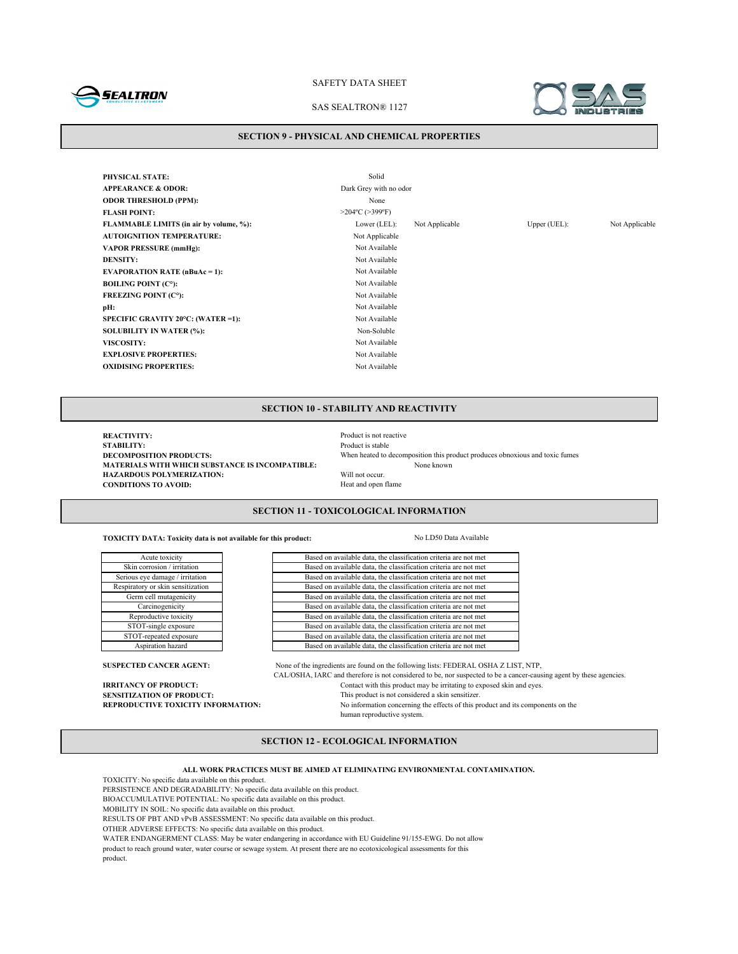

#### SAS SEALTRON® 1127



#### **SECTION 9 - PHYSICAL AND CHEMICAL PROPERTIES**

**PHYSICAL STATE:** Solid **APPEARANCE & ODOR:** Dark Grey with no odor **ODOR THRESHOLD (PPM):** None **FLASH POINT:** >204°C (>399°F) **FLAMMABLE LIMITS (in air by volume, %):** Lower (LEL): Not Applicable Upper (UEL): Not Applicable **AUTOIGNITION TEMPERATURE:** Not Applicable **VAPOR PRESSURE (mmHg):** Not Available **DENSITY:** Not Available **EVAPORATION RATE (nBuAc = 1):** Not Available **BOILING POINT (C°):** Not Available **FREEZING POINT (C°):** Not Available **pH:** Not Available **SPECIFIC GRAVITY 20°C: (WATER =1):** Not Available **SOLUBILITY IN WATER (%):** Non-Soluble **VISCOSITY:** Not Available **EXPLOSIVE PROPERTIES:** Not Available **OXIDISING PROPERTIES:** Not Available

**SECTION 10 - STABILITY AND REACTIVITY**

**REACTIVITY:**<br> **REACTIVITY:**<br> **Product is stable STABILITY:** Product is stable<br>DECOMPOSITION PRODUCTS: When heated to when heated to a stable **MATERIALS WITH WHICH SUBSTANCE IS INCOMPATIBLE:**<br> **HAZARDOUS POLYMERIZATION:** Will not occur. **HAZARDOUS POLYMERIZATION:** Will not occur.<br> **CONDITIONS TO AVOID:** Heat and open flame **CONDITIONS TO AVOID:** 

When heated to decomposition this product produces obnoxious and toxic fumes None known

## **SECTION 11 - TOXICOLOGICAL INFORMATION**

**TOXICITY DATA: Toxicity data is not available for this product:** No LD50 Data Available

Acute toxicity Skin corrosion / irritation Serious eye damage / irritation Respiratory or skin sensitization Germ cell mutagenicity Carcinogenicity

Reproductive toxicity STOT-single exposure STOT-repeated exposure Aspiration hazard

Based on available data, the classification criteria are not met Based on available data, the classification criteria are not met Based on available data, the classification criteria are not met Based on available data, the classification criteria are not met Based on available data, the classification criteria are not met Based on available data, the classification criteria are not met Based on available data, the classification criteria are not met Based on available data, the classification criteria are not met Based on available data, the classification criteria are not met Based on available data, the classification criteria are not met

**SUSPECTED CANCER AGENT:** None of the ingredients are found on the following lists: FEDERAL OSHA Z LIST, NTP, CAL/OSHA, IARC and therefore is not considered to be, nor suspected to be a cancer-causing agent by these agencies. **IRRITANCY OF PRODUCT:** Contact with this product may be irritating to exposed skin and eyes.<br>**SENSITIZATION OF PRODUCT:** This product is not considered a skin sensitizer. **SENSITIZATION OF PRODUCT:**<br> **REPRODUCTIVE TOXICITY INFORMATION:** No information concerning the effects of this m No information concerning the effects of this product and its components on the human reproductive system.

## **SECTION 12 - ECOLOGICAL INFORMATION**

**ALL WORK PRACTICES MUST BE AIMED AT ELIMINATING ENVIRONMENTAL CONTAMINATION.**

TOXICITY: No specific data available on this product.

PERSISTENCE AND DEGRADABILITY: No specific data available on this product.

BIOACCUMULATIVE POTENTIAL: No specific data available on this product.

MOBILITY IN SOIL: No specific data available on this product.

RESULTS OF PBT AND vPvB ASSESSMENT: No specific data available on this product.

OTHER ADVERSE EFFECTS: No specific data available on this product.

WATER ENDANGERMENT CLASS: May be water endangering in accordance with EU Guideline 91/155-EWG. Do not allow

product to reach ground water, water course or sewage system. At present there are no ecotoxicological assessments for this product.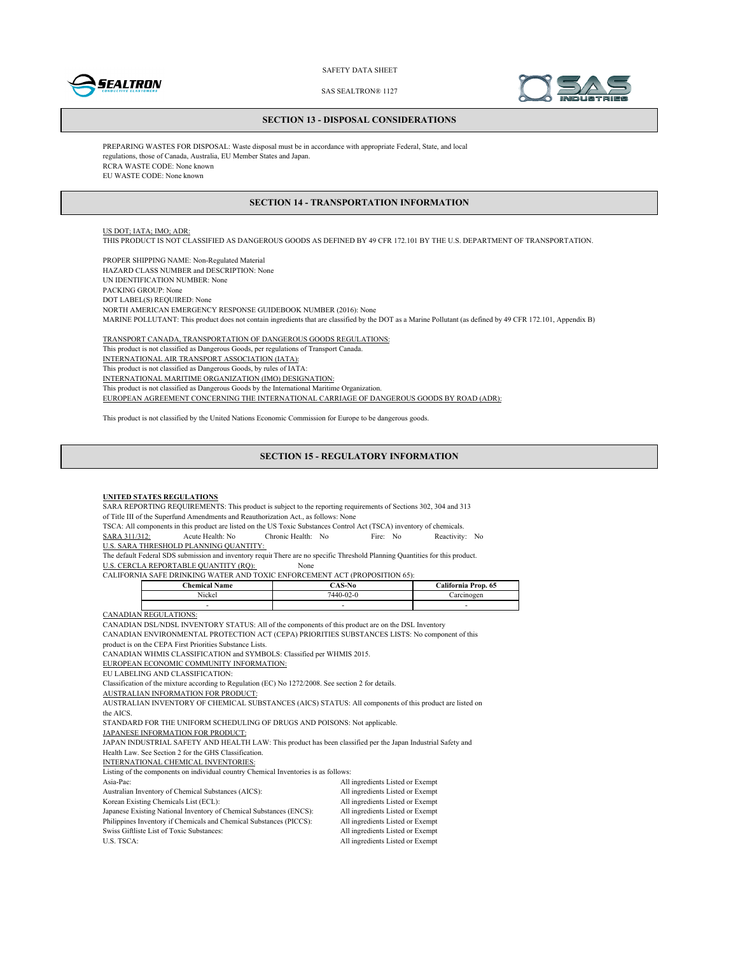



SAS SEALTRON® 1127

#### **SECTION 13 - DISPOSAL CONSIDERATIONS**

PREPARING WASTES FOR DISPOSAL: Waste disposal must be in accordance with appropriate Federal, State, and local regulations, those of Canada, Australia, EU Member States and Japan. RCRA WASTE CODE: None known EU WASTE CODE: None known

## **SECTION 14 - TRANSPORTATION INFORMATION**

## US DOT; IATA; IMO; ADR:

THIS PRODUCT IS NOT CLASSIFIED AS DANGEROUS GOODS AS DEFINED BY 49 CFR 172.101 BY THE U.S. DEPARTMENT OF TRANSPORTATION.

PROPER SHIPPING NAME: Non-Regulated Material HAZARD CLASS NUMBER and DESCRIPTION: None UN IDENTIFICATION NUMBER: None PACKING GROUP: None DOT LABEL(S) REQUIRED: None NORTH AMERICAN EMERGENCY RESPONSE GUIDEBOOK NUMBER (2016): None MARINE POLLUTANT: This product does not contain ingredients that are classified by the DOT as a Marine Pollutant (as defined by 49 CFR 172.101, Appendix B)

TRANSPORT CANADA, TRANSPORTATION OF DANGEROUS GOODS REGULATIONS: This product is not classified as Dangerous Goods, per regulations of Transport Canada. INTERNATIONAL AIR TRANSPORT ASSOCIATION (IATA): This product is not classified as Dangerous Goods, by rules of IATA: INTERNATIONAL MARITIME ORGANIZATION (IMO) DESIGNATION: This product is not classified as Dangerous Goods by the International Maritime Organization. EUROPEAN AGREEMENT CONCERNING THE INTERNATIONAL CARRIAGE OF DANGEROUS GOODS BY ROAD (ADR):

This product is not classified by the United Nations Economic Commission for Europe to be dangerous goods.

#### **SECTION 15 - REGULATORY INFORMATION**

#### **UNITED STATES REGULATIONS**

SARA REPORTING REQUIREMENTS: This product is subject to the reporting requirements of Sections 302, 304 and 313 of Title III of the Superfund Amendments and Reauthorization Act., as follows: None

TSCA: All components in this product are listed on the US Toxic Substances Control Act (TSCA) inventory of chemicals.<br>
SARA 311/312: Acute Health: No Fire: No Reactivity SARA 311/312: Acute Health: No Chronic Health: No Fire: No Reactivity: No

U.S. SARA THRESHOLD PLANNING QUANTITY:

The default Federal SDS submission and inventory requir There are no specific Threshold Planning Quantities for this product.

U.S. CERCLA REPORTABLE QUANTITY (RQ): None

CALIFORNIA SAFE DRINKING WATER AND TOXIC ENFORCEMENT ACT (PROPOSITION 65):

| $\cdots$<br>Name<br><b>hamical</b> | $\sim$<br><b>.</b> | California Prop. 65 |
|------------------------------------|--------------------|---------------------|
| - - -<br>Nickel                    | $7440 - 02 - 0$    | areinogen           |
|                                    |                    | -                   |

CANADIAN REGULATIONS:

CANADIAN DSL/NDSL INVENTORY STATUS: All of the components of this product are on the DSL Inventory

CANADIAN ENVIRONMENTAL PROTECTION ACT (CEPA) PRIORITIES SUBSTANCES LISTS: No component of this

product is on the CEPA First Priorities Substance Lists.

CANADIAN WHMIS CLASSIFICATION and SYMBOLS: Classified per WHMIS 2015.

EUROPEAN ECONOMIC COMMUNITY INFORMATION:

EU LABELING AND CLASSIFICATION:

Classification of the mixture according to Regulation (EC) No 1272/2008. See section 2 for details.

AUSTRALIAN INFORMATION FOR PRODUCT:

AUSTRALIAN INVENTORY OF CHEMICAL SUBSTANCES (AICS) STATUS: All components of this product are listed on the AICS.

STANDARD FOR THE UNIFORM SCHEDULING OF DRUGS AND POISONS: Not applicable.

JAPANESE INFORMATION FOR PRODUCT:

JAPAN INDUSTRIAL SAFETY AND HEALTH LAW: This product has been classified per the Japan Industrial Safety and Health Law. See Section 2 for the GHS Classification.

INTERNATIONAL CHEMICAL INVENTORIES:

Listing of the components on individual country Chemical Inventories is as follows:

| $\ldots$ . The component on manifestive country $\ldots$            |                                  |
|---------------------------------------------------------------------|----------------------------------|
| Asia-Pac:                                                           | All ingredients Listed or Exempt |
| Australian Inventory of Chemical Substances (AICS):                 | All ingredients Listed or Exempt |
| Korean Existing Chemicals List (ECL):                               | All ingredients Listed or Exempt |
| Japanese Existing National Inventory of Chemical Substances (ENCS): | All ingredients Listed or Exempt |
| Philippines Inventory if Chemicals and Chemical Substances (PICCS): | All ingredients Listed or Exempt |
| Swiss Giftliste List of Toxic Substances:                           | All ingredients Listed or Exempt |
| U.S. TSCA:                                                          | All ingredients Listed or Exempt |
|                                                                     |                                  |